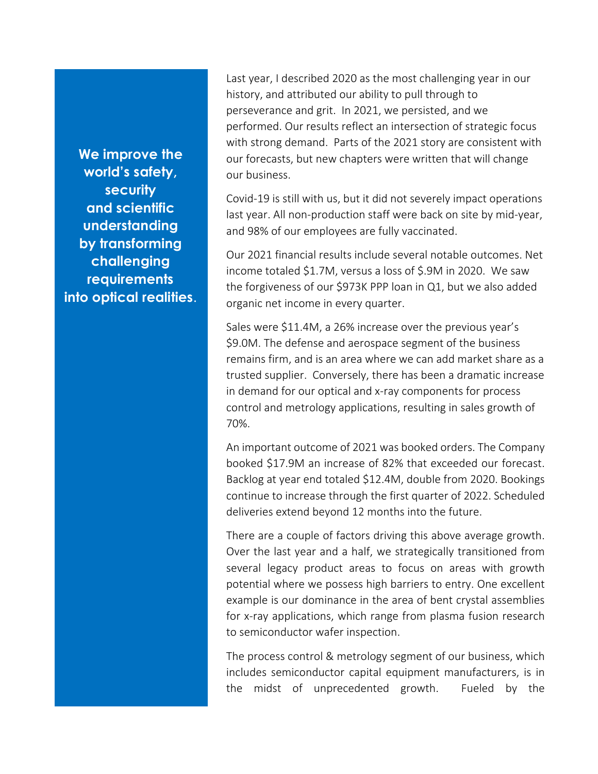**We improve the world's safety, security and scientific understanding by transforming challenging requirements into optical realities**. Last year, I described 2020 as the most challenging year in our history, and attributed our ability to pull through to perseverance and grit. In 2021, we persisted, and we performed. Our results reflect an intersection of strategic focus with strong demand. Parts of the 2021 story are consistent with our forecasts, but new chapters were written that will change our business.

Covid-19 is still with us, but it did not severely impact operations last year. All non-production staff were back on site by mid-year, and 98% of our employees are fully vaccinated.

Our 2021 financial results include several notable outcomes. Net income totaled \$1.7M, versus a loss of \$.9M in 2020. We saw the forgiveness of our \$973K PPP loan in Q1, but we also added organic net income in every quarter.

Sales were \$11.4M, a 26% increase over the previous year's \$9.0M. The defense and aerospace segment of the business remains firm, and is an area where we can add market share as a trusted supplier. Conversely, there has been a dramatic increase in demand for our optical and x-ray components for process control and metrology applications, resulting in sales growth of 70%.

An important outcome of 2021 was booked orders. The Company booked \$17.9M an increase of 82% that exceeded our forecast. Backlog at year end totaled \$12.4M, double from 2020. Bookings continue to increase through the first quarter of 2022. Scheduled deliveries extend beyond 12 months into the future.

There are a couple of factors driving this above average growth. Over the last year and a half, we strategically transitioned from several legacy product areas to focus on areas with growth potential where we possess high barriers to entry. One excellent example is our dominance in the area of bent crystal assemblies for x-ray applications, which range from plasma fusion research to semiconductor wafer inspection.

The process control & metrology segment of our business, which includes semiconductor capital equipment manufacturers, is in the midst of unprecedented growth. Fueled by the